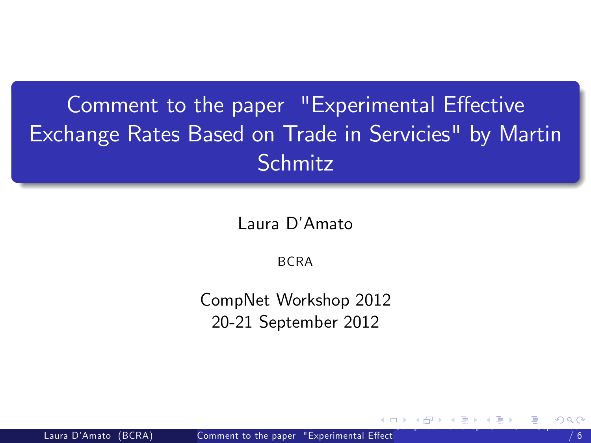## Comment to the paper "Experimental Effective Exchange Rates Based on Trade in Servicies" by Martin Schmitz

Laura DíAmato

<span id="page-0-0"></span>BCRA

CompNet Workshop 2012 20-21 September 2012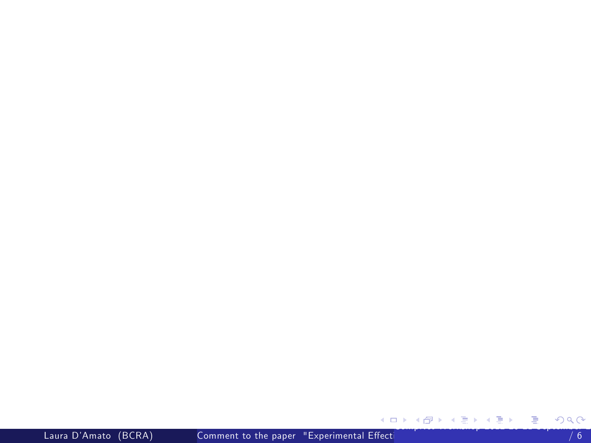<span id="page-1-0"></span>[Com](#page-2-0)[p](#page-0-0)[Net](#page-1-0) [W](#page-2-0)[orks](#page-0-0)[hop](#page-6-0) [201](#page-0-0)[2 20](#page-6-0)[-21](#page-0-0) [Sept](#page-6-0)ember 2012 2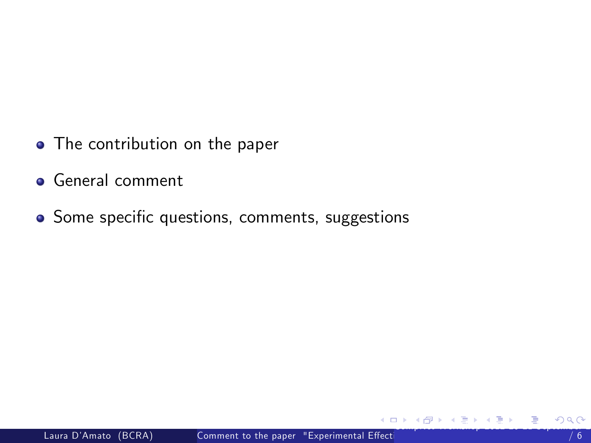- The contribution on the paper
- General comment
- <span id="page-2-0"></span>• Some specific questions, comments, suggestions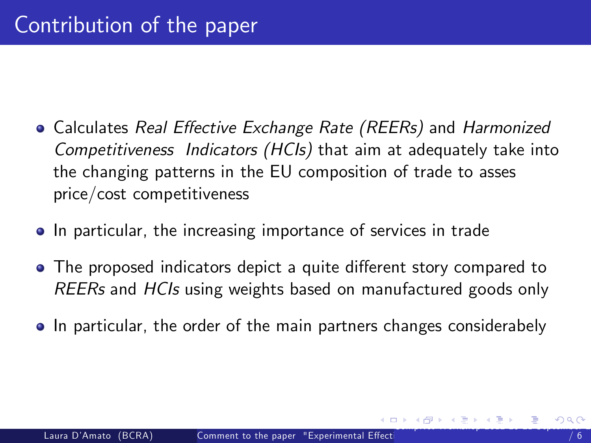- Calculates Real Effective Exchange Rate (REERs) and Harmonized Competitiveness Indicators (HCIs) that aim at adequately take into the changing patterns in the EU composition of trade to asses price/cost competitiveness
- In particular, the increasing importance of services in trade
- The proposed indicators depict a quite different story compared to REERs and HCIs using weights based on manufactured goods only
- <span id="page-3-0"></span>• In particular, the order of the main partners changes considerabely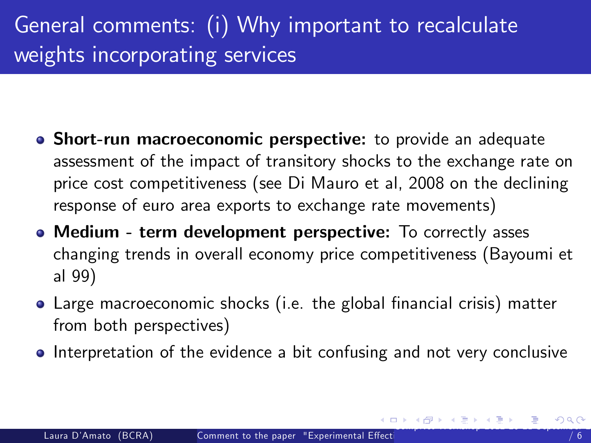- **Short-run macroeconomic perspective:** to provide an adequate assessment of the impact of transitory shocks to the exchange rate on price cost competitiveness (see Di Mauro et al, 2008 on the declining response of euro area exports to exchange rate movements)
- Medium term development perspective: To correctly asses changing trends in overall economy price competitiveness (Bayoumi et al 99)
- Large macroeconomic shocks (i.e. the global financial crisis) matter from both perspectives)
- <span id="page-4-0"></span>• Interpretation of the evidence a bit confusing and not very conclusive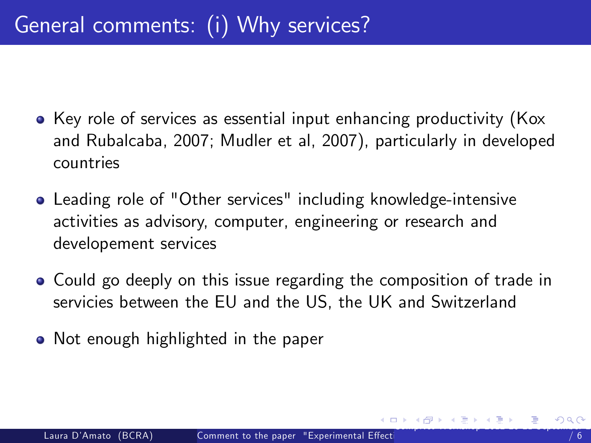- Key role of services as essential input enhancing productivity (Kox and Rubalcaba, 2007; Mudler et al, 2007), particularly in developed countries
- Leading role of "Other services" including knowledge-intensive activities as advisory, computer, engineering or research and developement services
- Could go deeply on this issue regarding the composition of trade in servicies between the EU and the US, the UK and Switzerland
- <span id="page-5-0"></span>• Not enough highlighted in the paper